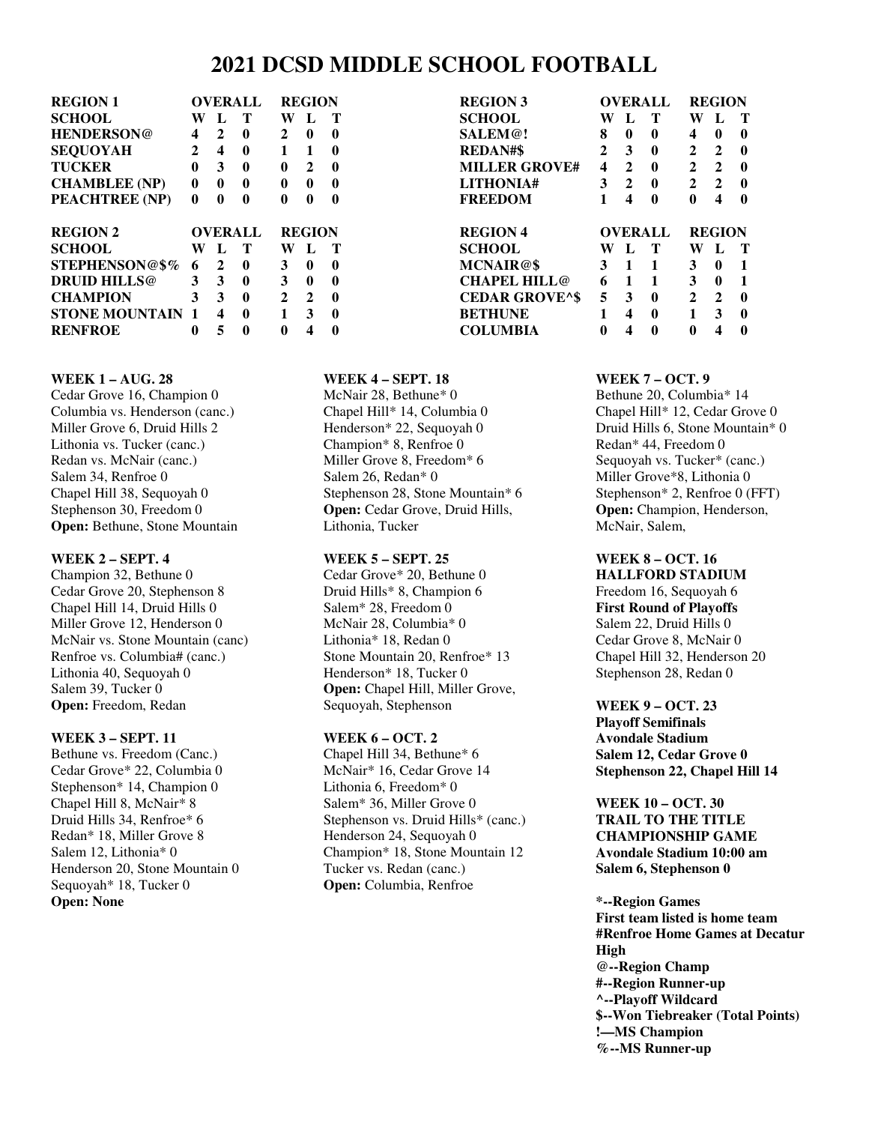# **2021 DCSD MIDDLE SCHOOL FOOTBALL**

| <b>REGION 1</b>       | <b>OVERALL</b> |                |   | <b>REGION</b> |               |   |
|-----------------------|----------------|----------------|---|---------------|---------------|---|
| <b>SCHOOL</b>         | W              | L              | Т | W             | L             | т |
| <b>HENDERSON@</b>     | 4              | 2              | 0 | 2             | 0             | 0 |
| <b>SEQUOYAH</b>       | 2              | 4              | 0 | 1             | 1             | 0 |
| <b>TUCKER</b>         | 0              | 3              | 0 | 0             | $\mathbf{2}$  | 0 |
| <b>CHAMBLEE</b> (NP)  | $\bf{0}$       | 0              | 0 | 0             | 0             | 0 |
| PEACHTREE (NP)        | 0              | 0              | 0 | 0             | 0             | 0 |
|                       |                | <b>OVERALL</b> |   |               |               |   |
| <b>REGION 2</b>       |                |                |   |               | <b>REGION</b> |   |
| <b>SCHOOL</b>         | W              | L              | Т | W             | L             | т |
| STEPHENSON@\$%        | 6              | 2              | 0 | 3             | 0             | 0 |
| <b>DRUID HILLS@</b>   | 3              | 3              | 0 | 3             | 0             | 0 |
| <b>CHAMPION</b>       | 3              | 3              | 0 | $\mathbf{2}$  | $\mathbf{2}$  | 0 |
| <b>STONE MOUNTAIN</b> | 1              | 4              | 0 | 1             | 3             | 0 |

| <b>REGION 3</b>       | <b>OVERALL</b> |              |                | <b>REGION</b> |                |          |
|-----------------------|----------------|--------------|----------------|---------------|----------------|----------|
| <b>SCHOOL</b>         | W              | L            | T              | W             | L              | Т        |
| <b>SALEM@!</b>        | 8              | 0            | 0              | 4             | 0              | 0        |
| REDAN#\$              | $\mathbf{2}$   | 3            | 0              | $\mathbf{2}$  | $\mathbf{2}$   | 0        |
| <b>MILLER GROVE#</b>  | 4              | $\mathbf{2}$ | 0              | $\mathbf{2}$  | $\mathbf{2}$   | $\bf{0}$ |
| <b>LITHONIA#</b>      | 3              | $\mathbf{2}$ | 0              | $\mathbf{2}$  | $\overline{2}$ | 0        |
| <b>FREEDOM</b>        | 1              | 4            | 0              | 0             | 4              | 0        |
|                       |                |              |                |               |                |          |
| <b>REGION 4</b>       |                |              | <b>OVERALL</b> |               | <b>REGION</b>  |          |
| <b>SCHOOL</b>         | W              | L            | Т              | W             | L              | Т        |
| MCNAIR@\$             | 3              | 1            | 1              | 3             | 0              | 1        |
| CHAPEL HILL@          | 6              | 1            | 1              | 3             | 0              | 1        |
| <b>CEDAR GROVE^\$</b> | 5              | 3            | 0              | $\mathbf{2}$  | $\mathbf{2}$   | $\bf{0}$ |
| BETHUNE               | 1              | 4            | 0              | 1             | 3              | 0        |

#### **WEEK 1 – AUG. 28**

Cedar Grove 16, Champion 0 Columbia vs. Henderson (canc.) Miller Grove 6, Druid Hills 2 Lithonia vs. Tucker (canc.) Redan vs. McNair (canc.) Salem 34, Renfroe 0 Chapel Hill 38, Sequoyah 0 Stephenson 30, Freedom 0 **Open:** Bethune, Stone Mountain

#### **WEEK 2 – SEPT. 4**

Champion 32, Bethune 0 Cedar Grove 20, Stephenson 8 Chapel Hill 14, Druid Hills 0 Miller Grove 12, Henderson 0 McNair vs. Stone Mountain (canc) Renfroe vs. Columbia# (canc.) Lithonia 40, Sequoyah 0 Salem 39, Tucker 0 **Open:** Freedom, Redan

#### **WEEK 3 – SEPT. 11**

Bethune vs. Freedom (Canc.) Cedar Grove\* 22, Columbia 0 Stephenson\* 14, Champion 0 Chapel Hill 8, McNair\* 8 Druid Hills 34, Renfroe\* 6 Redan\* 18, Miller Grove 8 Salem 12, Lithonia\* 0 Henderson 20, Stone Mountain 0 Sequoyah\* 18, Tucker 0 **Open: None** 

#### **WEEK 4 – SEPT. 18**

McNair 28, Bethune\* 0 Chapel Hill\* 14, Columbia 0 Henderson\* 22, Sequoyah 0 Champion\* 8, Renfroe 0 Miller Grove 8, Freedom\* 6 Salem 26, Redan\* 0 Stephenson 28, Stone Mountain\* 6 **Open:** Cedar Grove, Druid Hills, Lithonia, Tucker

#### **WEEK 5 – SEPT. 25**

Cedar Grove\* 20, Bethune 0 Druid Hills\* 8, Champion 6 Salem\* 28, Freedom 0 McNair 28, Columbia\* 0 Lithonia\* 18, Redan 0 Stone Mountain 20, Renfroe\* 13 Henderson\* 18, Tucker 0 **Open:** Chapel Hill, Miller Grove, Sequoyah, Stephenson

#### **WEEK 6 – OCT. 2**

Chapel Hill 34, Bethune\* 6 McNair\* 16, Cedar Grove 14 Lithonia 6, Freedom\* 0 Salem\* 36, Miller Grove 0 Stephenson vs. Druid Hills\* (canc.) Henderson 24, Sequoyah 0 Champion\* 18, Stone Mountain 12 Tucker vs. Redan (canc.) **Open:** Columbia, Renfroe

#### **WEEK 7 – OCT. 9**

Bethune 20, Columbia\* 14 Chapel Hill\* 12, Cedar Grove 0 Druid Hills 6, Stone Mountain\* 0 Redan\* 44, Freedom 0 Sequoyah vs. Tucker\* (canc.) Miller Grove\*8, Lithonia 0 Stephenson\* 2, Renfroe 0 (FFT) **Open:** Champion, Henderson, McNair, Salem,

# **WEEK 8 – OCT. 16**

**HALLFORD STADIUM**  Freedom 16, Sequoyah 6 **First Round of Playoffs**  Salem 22, Druid Hills 0 Cedar Grove 8, McNair 0 Chapel Hill 32, Henderson 20 Stephenson 28, Redan 0

#### **WEEK 9 – OCT. 23**

**Playoff Semifinals Avondale Stadium Salem 12, Cedar Grove 0 Stephenson 22, Chapel Hill 14** 

**WEEK 10 – OCT. 30 TRAIL TO THE TITLE CHAMPIONSHIP GAME Avondale Stadium 10:00 am Salem 6, Stephenson 0** 

**\*--Region Games First team listed is home team #Renfroe Home Games at Decatur High @--Region Champ #--Region Runner-up ^--Playoff Wildcard \$--Won Tiebreaker (Total Points) !—MS Champion %--MS Runner-up**